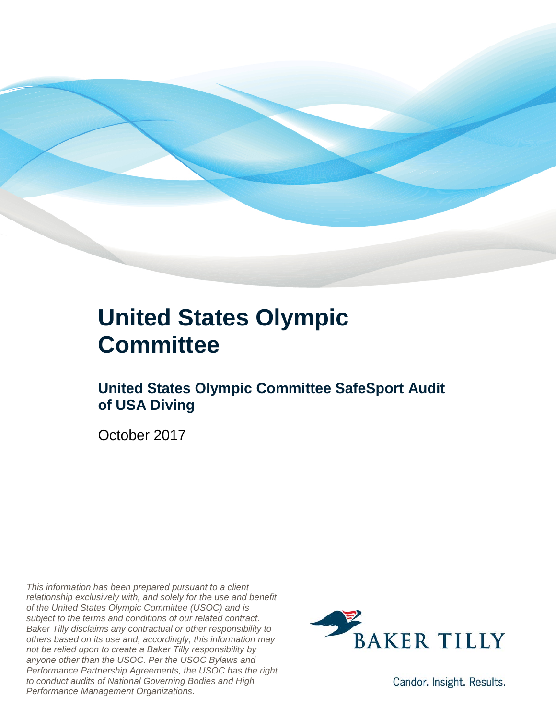

### **United States Olympic Committee**

#### **United States Olympic Committee SafeSport Audit of USA Diving**

October 2017

*This information has been prepared pursuant to a client relationship exclusively with, and solely for the use and benefit of the United States Olympic Committee (USOC) and is subject to the terms and conditions of our related contract. Baker Tilly disclaims any contractual or other responsibility to others based on its use and, accordingly, this information may not be relied upon to create a Baker Tilly responsibility by anyone other than the USOC. Per the USOC Bylaws and Performance Partnership Agreements, the USOC has the right to conduct audits of National Governing Bodies and High Performance Management Organizations.*



Candor. Insight. Results.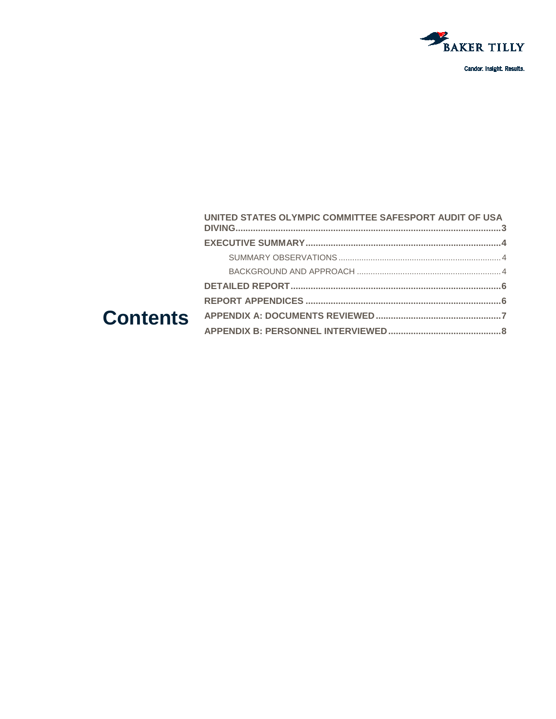

|  | UNITED STATES OLYMPIC COMMITTEE SAFESPORT AUDIT OF USA |  |
|--|--------------------------------------------------------|--|
|  |                                                        |  |
|  |                                                        |  |
|  |                                                        |  |
|  |                                                        |  |
|  |                                                        |  |
|  |                                                        |  |
|  |                                                        |  |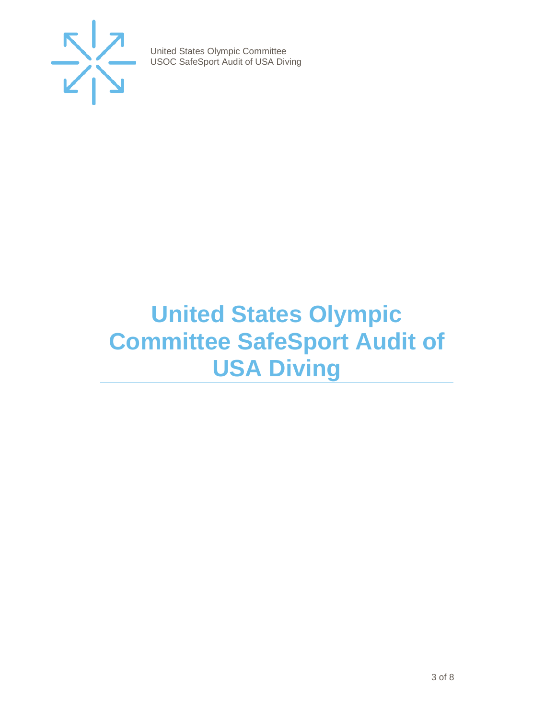

## <span id="page-2-0"></span>**United States Olympic Committee SafeSport Audit of USA Diving**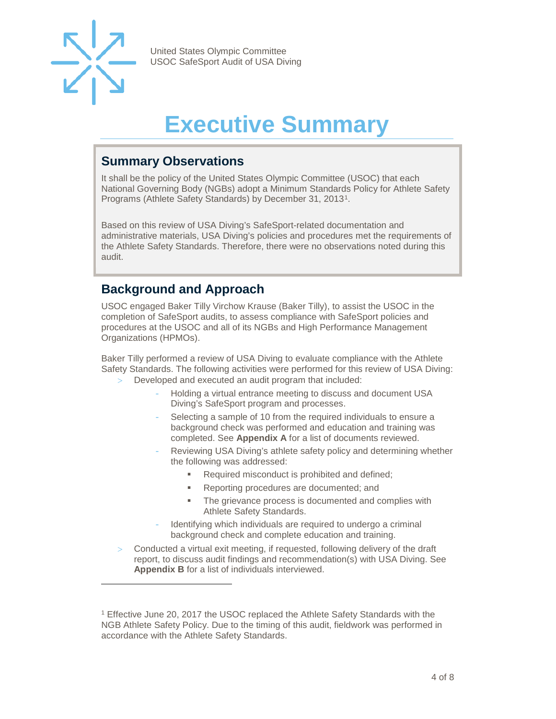

-

United States Olympic Committee USOC SafeSport Audit of USA Diving

## **Executive Summary**

#### <span id="page-3-1"></span><span id="page-3-0"></span>**Summary Observations**

It shall be the policy of the United States Olympic Committee (USOC) that each National Governing Body (NGBs) adopt a Minimum Standards Policy for Athlete Safety Programs (Athlete Safety Standards) by December 31, 2013[1](#page-3-4).

Based on this review of USA Diving's SafeSport-related documentation and administrative materials, USA Diving's policies and procedures met the requirements of the Athlete Safety Standards. Therefore, there were no observations noted during this audit.

#### <span id="page-3-2"></span>**Background and Approach**

<span id="page-3-3"></span>USOC engaged Baker Tilly Virchow Krause (Baker Tilly), to assist the USOC in the completion of SafeSport audits, to assess compliance with SafeSport policies and procedures at the USOC and all of its NGBs and High Performance Management Organizations (HPMOs).

Baker Tilly performed a review of USA Diving to evaluate compliance with the Athlete Safety Standards. The following activities were performed for this review of USA Diving:

- Developed and executed an audit program that included:
	- Holding a virtual entrance meeting to discuss and document USA Diving's SafeSport program and processes.
	- Selecting a sample of 10 from the required individuals to ensure a background check was performed and education and training was completed. See **Appendix A** for a list of documents reviewed.
	- Reviewing USA Diving's athlete safety policy and determining whether the following was addressed:
		- Required misconduct is prohibited and defined;
		- **Reporting procedures are documented; and**
		- The grievance process is documented and complies with Athlete Safety Standards.
	- Identifying which individuals are required to undergo a criminal background check and complete education and training.
- Conducted a virtual exit meeting, if requested, following delivery of the draft report, to discuss audit findings and recommendation(s) with USA Diving. See **Appendix B** for a list of individuals interviewed.

<span id="page-3-4"></span><sup>&</sup>lt;sup>1</sup> Effective June 20, 2017 the USOC replaced the Athlete Safety Standards with the NGB Athlete Safety Policy. Due to the timing of this audit, fieldwork was performed in accordance with the Athlete Safety Standards.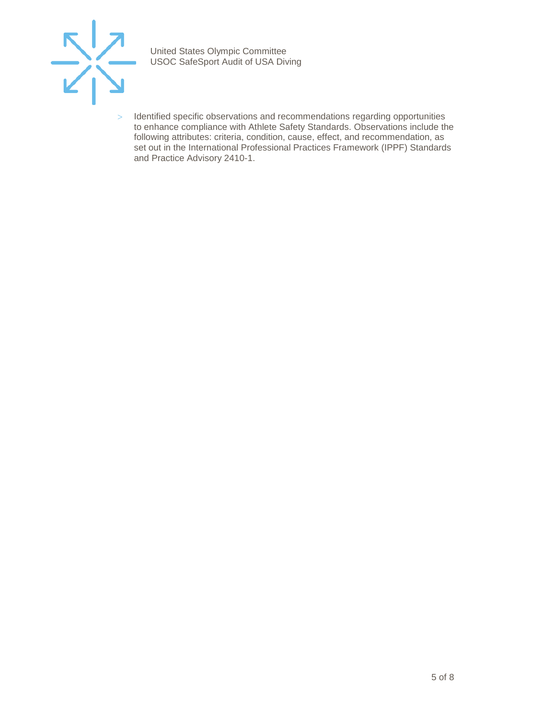

> Identified specific observations and recommendations regarding opportunities to enhance compliance with Athlete Safety Standards. Observations include the following attributes: criteria, condition, cause, effect, and recommendation, as set out in the International Professional Practices Framework (IPPF) Standards and Practice Advisory 2410-1.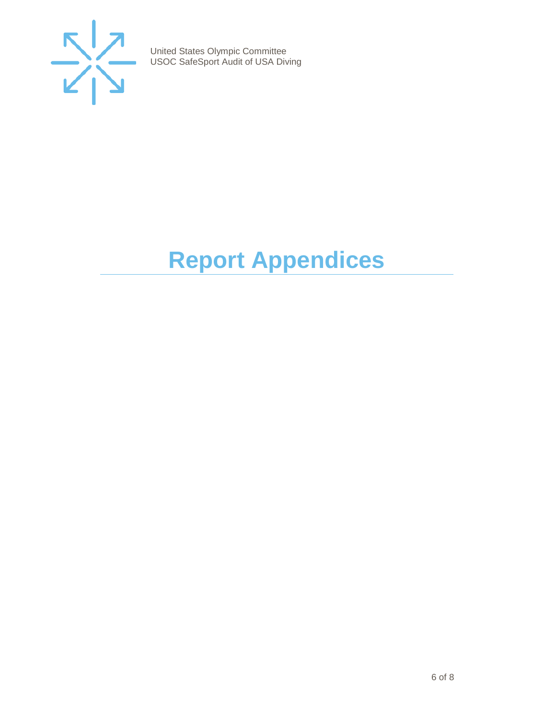

# <span id="page-5-0"></span>**Report Appendices**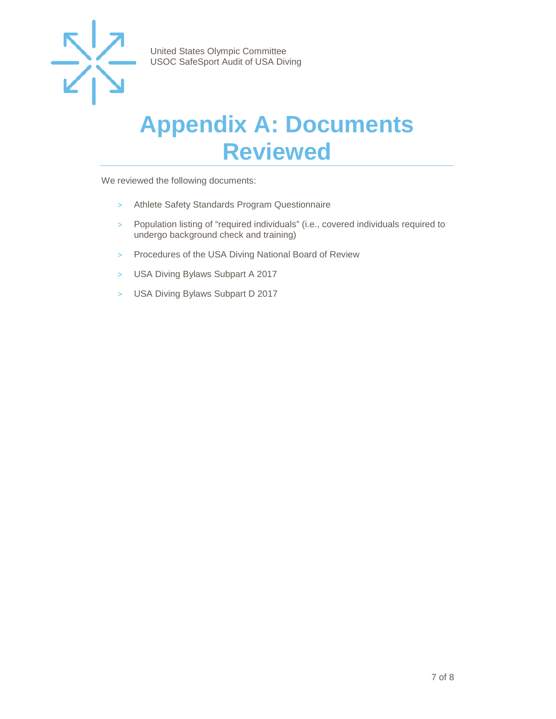

### <span id="page-6-0"></span>**Appendix A: Documents Reviewed**

We reviewed the following documents:

- > Athlete Safety Standards Program Questionnaire
- > Population listing of "required individuals" (i.e., covered individuals required to undergo background check and training)
- > Procedures of the USA Diving National Board of Review
- > USA Diving Bylaws Subpart A 2017
- > USA Diving Bylaws Subpart D 2017